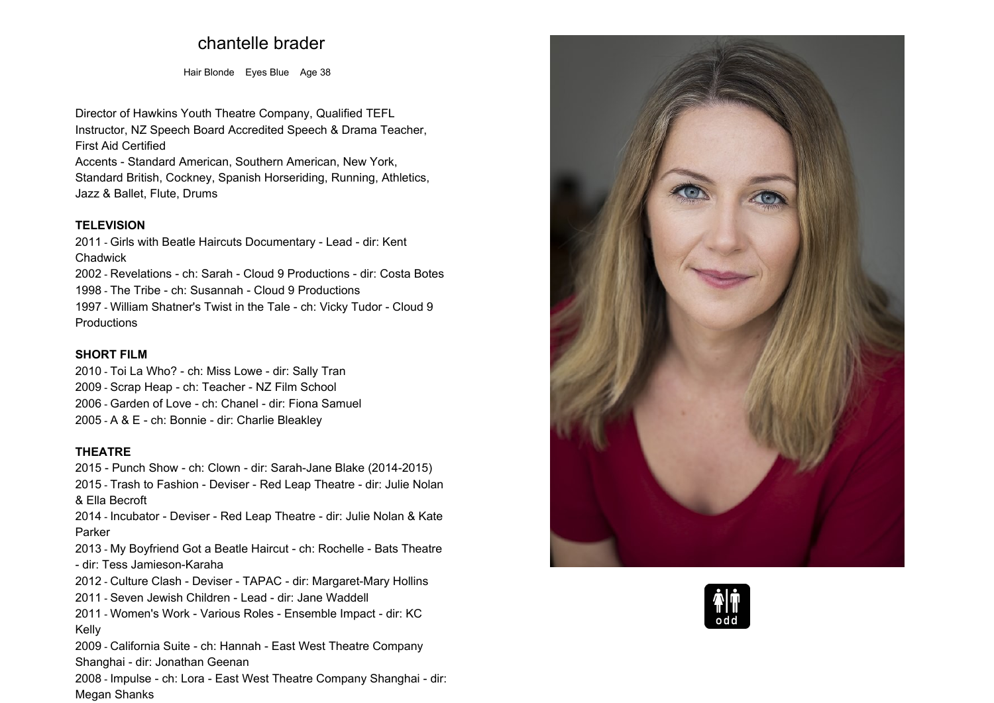# **chantelle brader**

**Hair Blonde Eyes Blue Age <sup>38</sup>**

**Director of Hawkins Youth Theatre Company, Qualified TEFL Instructor, NZ Speech Board Accredited Speech & Drama Teacher, First Aid Certified**

**Accents - Standard American, Southern American, New York, Standard British, Cockney, Spanish Horseriding, Running, Athletics, Jazz & Ballet, Flute, Drums**

#### **TELEVISION**

 **2011 - Girls with Beatle Haircuts Documentary - Lead - dir: Kent Chadwick2002 - Revelations - ch: Sarah - Cloud <sup>9</sup> Productions - dir: Costa Botes**

**1998 - The Tribe - ch: Susannah - Cloud <sup>9</sup> Productions 1997 - William Shatner's Twist in the Tale - ch: Vicky Tudor - Cloud <sup>9</sup> Productions**

# **SHORT FILM**

 **2010 - Toi La Who? - ch: Miss Lowe - dir: Sally Tran - Scrap Heap - ch: Teacher - NZ Film School - Garden of Love - ch: Chanel - dir: Fiona Samuel - <sup>A</sup> & <sup>E</sup> - ch: Bonnie - dir: Charlie Bleakley**

#### **THEATRE**

 **2015 - Punch Show - ch: Clown - dir: Sarah-Jane Blake (2014-2015) 2015 - Trash to Fashion - Deviser - Red Leap Theatre - dir: Julie Nolan & Ella Becroft 2014 - Incubator - Deviser - Red Leap Theatre - dir: Julie Nolan & Kate Parker2013 - My Boyfriend Got <sup>a</sup> Beatle Haircut - ch: Rochelle - Bats Theatre - dir: Tess Jamieson-Karaha 2012 - Culture Clash - Deviser - TAPAC - dir: Margaret-Mary Hollins 2011 - Seven Jewish Children - Lead - dir: Jane Waddell 2011 - Women's Work - Various Roles - Ensemble Impact - dir: KCKelly 2009 - California Suite - ch: Hannah - East West Theatre Company Shanghai - dir: Jonathan Geenan 2008 - Impulse - ch: Lora - East West Theatre Company Shanghai - dir: Megan Shanks**